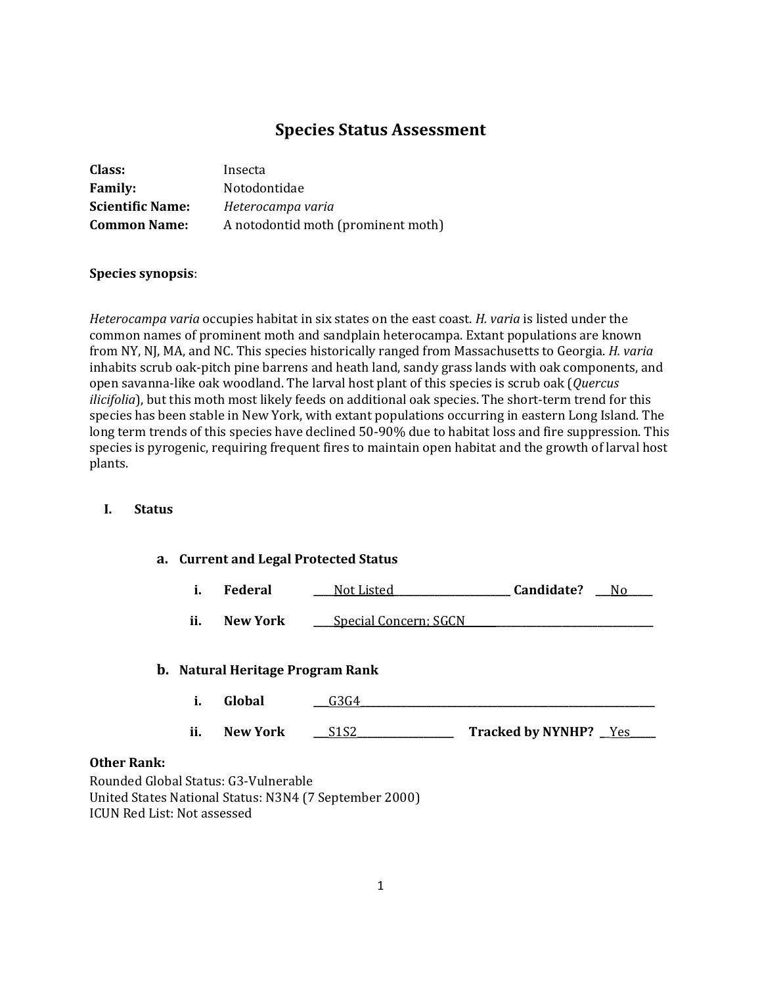# **Species Status Assessment**

| Class:                  | Insecta                            |
|-------------------------|------------------------------------|
| <b>Family:</b>          | Notodontidae                       |
| <b>Scientific Name:</b> | Heterocampa varia                  |
| <b>Common Name:</b>     | A notodontid moth (prominent moth) |

## **Species synopsis**:

*Heterocampa varia* occupies habitat in six states on the east coast. *H. varia* is listed under the common names of prominent moth and sandplain heterocampa. Extant populations are known from NY, NJ, MA, and NC. This species historically ranged from Massachusetts to Georgia. *H. varia* inhabits scrub oak-pitch pine barrens and heath land, sandy grass lands with oak components, and open savanna-like oak woodland. The larval host plant of this species is scrub oak (*Quercus ilicifolia*), but this moth most likely feeds on additional oak species. The short-term trend for this species has been stable in New York, with extant populations occurring in eastern Long Island. The long term trends of this species have declined 50-90% due to habitat loss and fire suppression. This species is pyrogenic, requiring frequent fires to maintain open habitat and the growth of larval host plants.

#### **I. Status**

#### **a. Current and Legal Protected Status**

| ı. | Federal | Not Listed | Candidate? |  |
|----|---------|------------|------------|--|
|----|---------|------------|------------|--|

**ii. New York** <u>Lighted Concern; SGCN</u>

#### **b. Natural Heritage Program Rank**

- **i. Global \_\_\_**G3G4**\_\_\_\_\_\_\_\_\_\_\_\_\_\_\_\_\_\_\_\_\_\_\_\_\_\_\_\_\_\_\_\_\_\_\_\_\_\_\_\_\_\_\_\_\_\_\_\_\_\_\_\_\_\_\_\_\_\_**
- **ii. New York \_\_\_**S1S2**\_\_\_\_\_\_\_\_\_\_\_\_\_\_\_\_\_\_\_ Tracked by NYNHP? \_**\_Yes**\_\_\_\_\_**

### **Other Rank:**

Rounded Global Status: G3-Vulnerable United States National Status: N3N4 (7 September 2000) ICUN Red List: Not assessed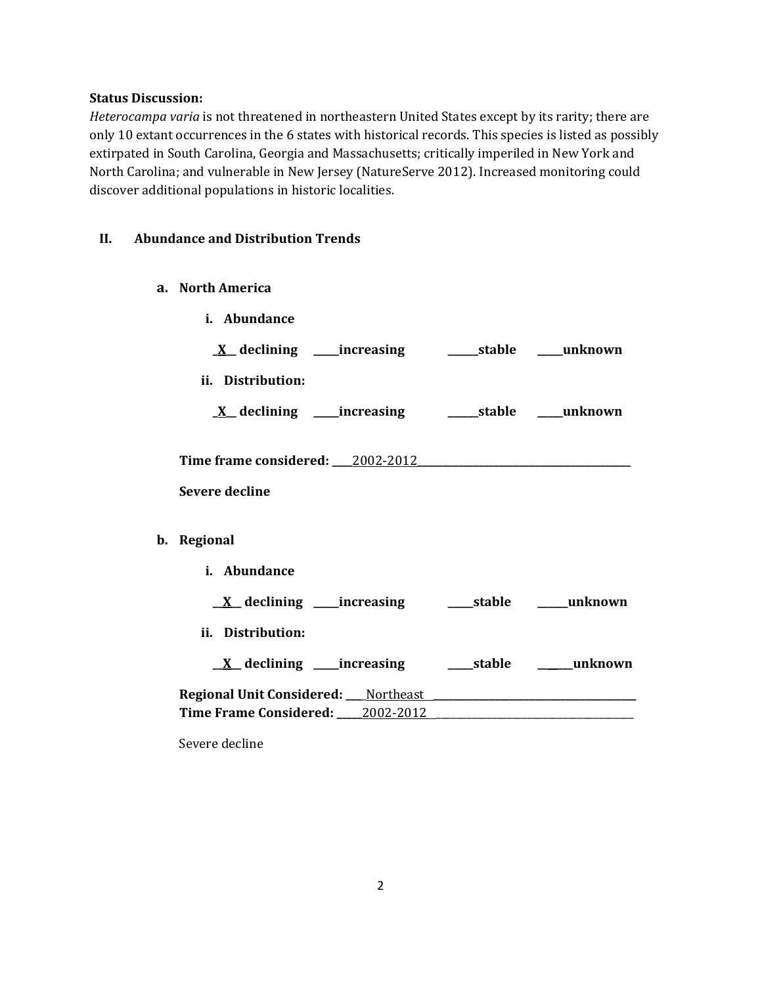## **Status Discussion:**

*Heterocampa varia* is not threatened in northeastern United States except by its rarity; there are only 10 extant occurrences in the 6 states with historical records. This species is listed as possibly extirpated in South Carolina, Georgia and Massachusetts; critically imperiled in New York and North Carolina; and vulnerable in New Jersey (NatureServe 2012). Increased monitoring could discover additional populations in historic localities.

## **II. Abundance and Distribution Trends**

**a. North America**

| i. Abundance                                                |  |  |  |  |
|-------------------------------------------------------------|--|--|--|--|
| <u>X</u> declining ____increasing _______stable ____unknown |  |  |  |  |
| ii. Distribution:                                           |  |  |  |  |
| <u>X</u> declining ____increasing _______stable ____unknown |  |  |  |  |
|                                                             |  |  |  |  |
| <b>Severe decline</b>                                       |  |  |  |  |
| Regional                                                    |  |  |  |  |
| i. Abundance                                                |  |  |  |  |
| <u>X</u> declining ____increasing ______stable _____unknown |  |  |  |  |
| ii. Distribution:                                           |  |  |  |  |
|                                                             |  |  |  |  |
|                                                             |  |  |  |  |
|                                                             |  |  |  |  |

Severe decline

**b**.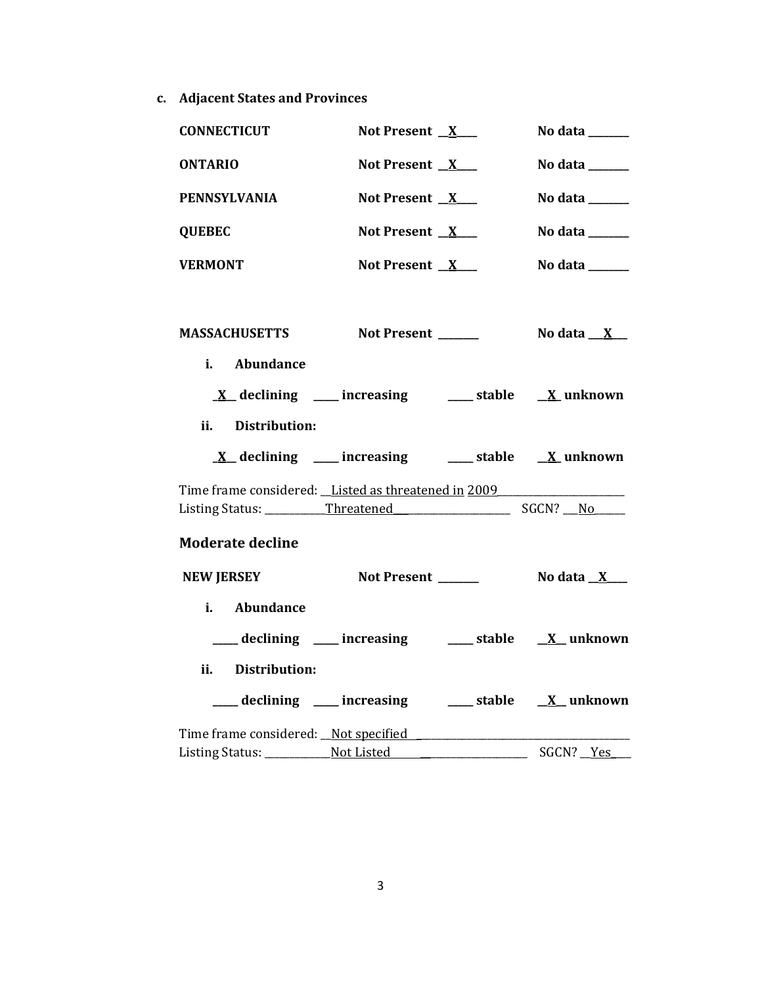**c. Adjacent States and Provinces**

| <b>CONNECTICUT</b>                                  | Not Present $X$                                                             |  | No data $\_\_\_\_\_\_\_\_\_\_\_\_$                        |  |
|-----------------------------------------------------|-----------------------------------------------------------------------------|--|-----------------------------------------------------------|--|
| <b>ONTARIO</b>                                      | Not Present $X$                                                             |  | No data ______                                            |  |
| <b>PENNSYLVANIA</b>                                 | Not Present $X$                                                             |  | No data $\_\_\_\_\_\_\_\_\_\_\$                           |  |
| <b>QUEBEC</b>                                       | Not Present $X$                                                             |  | No data ______                                            |  |
| <b>VERMONT</b>                                      | Not Present $X$                                                             |  | No data ______                                            |  |
|                                                     |                                                                             |  |                                                           |  |
| <b>MASSACHUSETTS</b>                                | Not Present ______                                                          |  | No data $\underline{\mathbf{X}}$                          |  |
| Abundance<br>i. I                                   |                                                                             |  |                                                           |  |
|                                                     | $\underline{X}$ declining ___ increasing ___ stable $\underline{X}$ unknown |  |                                                           |  |
| Distribution:<br>ii.                                |                                                                             |  |                                                           |  |
|                                                     | $\underline{X}$ declining ___ increasing ___ stable $\underline{X}$ unknown |  |                                                           |  |
| Time frame considered: Listed as threatened in 2009 |                                                                             |  |                                                           |  |
|                                                     |                                                                             |  |                                                           |  |
| <b>Moderate decline</b>                             |                                                                             |  |                                                           |  |
| <b>NEW JERSEY</b>                                   | Not Present ______                                                          |  | No data $\underline{\mathbf{X}}$ $\underline{\mathbf{X}}$ |  |
| i. Abundance                                        |                                                                             |  |                                                           |  |
|                                                     | declining ____ increasing _____ stable _____ x__ unknown                    |  |                                                           |  |
| ii.<br><b>Distribution:</b>                         |                                                                             |  |                                                           |  |
|                                                     | declining ____ increasing _____ stable _____ X__ unknown                    |  |                                                           |  |
|                                                     |                                                                             |  |                                                           |  |
|                                                     |                                                                             |  |                                                           |  |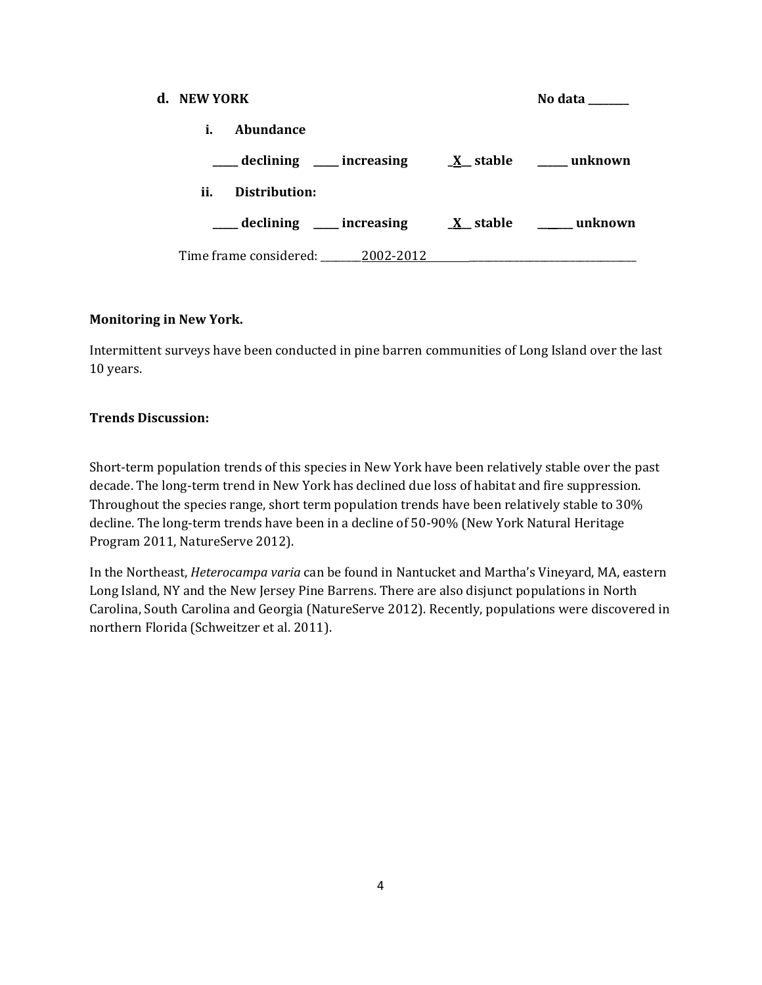| d. NEW YORK |                                  |                                                                                                                                         | No data |
|-------------|----------------------------------|-----------------------------------------------------------------------------------------------------------------------------------------|---------|
| i.          | Abundance                        |                                                                                                                                         |         |
|             |                                  | $\frac{1}{\sqrt{1-x^2}}$ declining $\frac{1}{\sqrt{1-x^2}}$ increasing $\frac{1}{\sqrt{1-x^2}}$ stable $\frac{1}{\sqrt{1-x^2}}$ unknown |         |
| ii.         | Distribution:                    |                                                                                                                                         |         |
|             |                                  |                                                                                                                                         |         |
|             | Time frame considered: 2002-2012 |                                                                                                                                         |         |

## **Monitoring in New York.**

Intermittent surveys have been conducted in pine barren communities of Long Island over the last 10 years.

### **Trends Discussion:**

Short-term population trends of this species in New York have been relatively stable over the past decade. The long-term trend in New York has declined due loss of habitat and fire suppression. Throughout the species range, short term population trends have been relatively stable to 30% decline. The long-term trends have been in a decline of 50-90% (New York Natural Heritage Program 2011, NatureServe 2012).

In the Northeast, *Heterocampa varia* can be found in Nantucket and Martha's Vineyard, MA, eastern Long Island, NY and the New Jersey Pine Barrens. There are also disjunct populations in North Carolina, South Carolina and Georgia (NatureServe 2012). Recently, populations were discovered in northern Florida (Schweitzer et al. 2011).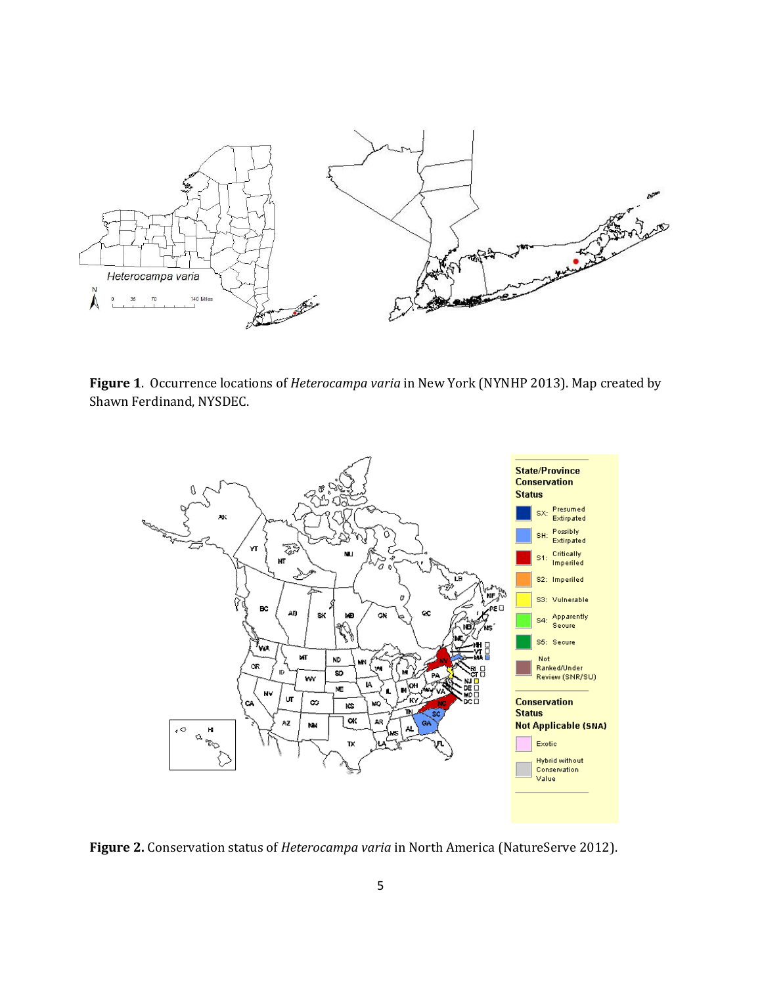

**Figure 1**. Occurrence locations of *Heterocampa varia* in New York (NYNHP 2013). Map created by Shawn Ferdinand, NYSDEC.



**Figure 2.** Conservation status of *Heterocampa varia* in North America (NatureServe 2012).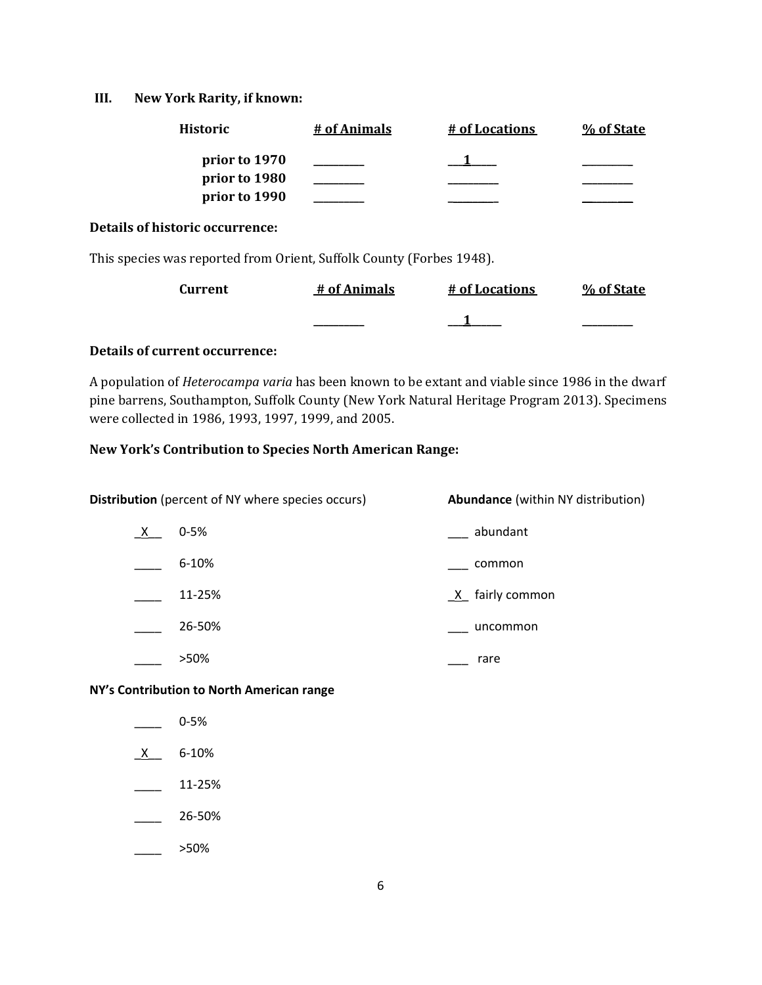#### **III. New York Rarity, if known:**

| <b>Historic</b> | # of Animals | # of Locations | % of State |
|-----------------|--------------|----------------|------------|
| prior to 1970   |              |                |            |
| prior to 1980   |              |                |            |
| prior to 1990   |              |                |            |

#### **Details of historic occurrence:**

This species was reported from Orient, Suffolk County (Forbes 1948).

| <b>Current</b> | # of Animals | # of Locations | % of State |
|----------------|--------------|----------------|------------|
|                |              |                |            |

## **Details of current occurrence:**

A population of *Heterocampa varia* has been known to be extant and viable since 1986 in the dwarf pine barrens, Southampton, Suffolk County (New York Natural Heritage Program 2013). Specimens were collected in 1986, 1993, 1997, 1999, and 2005.

#### **New York's Contribution to Species North American Range:**

| <b>Distribution</b> (percent of NY where species occurs) |           | <b>Abundance</b> (within NY distribution) |
|----------------------------------------------------------|-----------|-------------------------------------------|
| $\frac{X}{1}$                                            | $0 - 5%$  | abundant                                  |
|                                                          | $6 - 10%$ | common                                    |
|                                                          | 11-25%    | $X$ fairly common                         |
|                                                          | 26-50%    | uncommon                                  |
|                                                          | >50%      | rare                                      |

**NY's Contribution to North American range**

- \_\_\_\_ 0-5%
- $X$  6-10%
- $\frac{11-25\%}{2}$
- \_\_\_\_ 26-50%
- $\frac{1}{2}$  >50%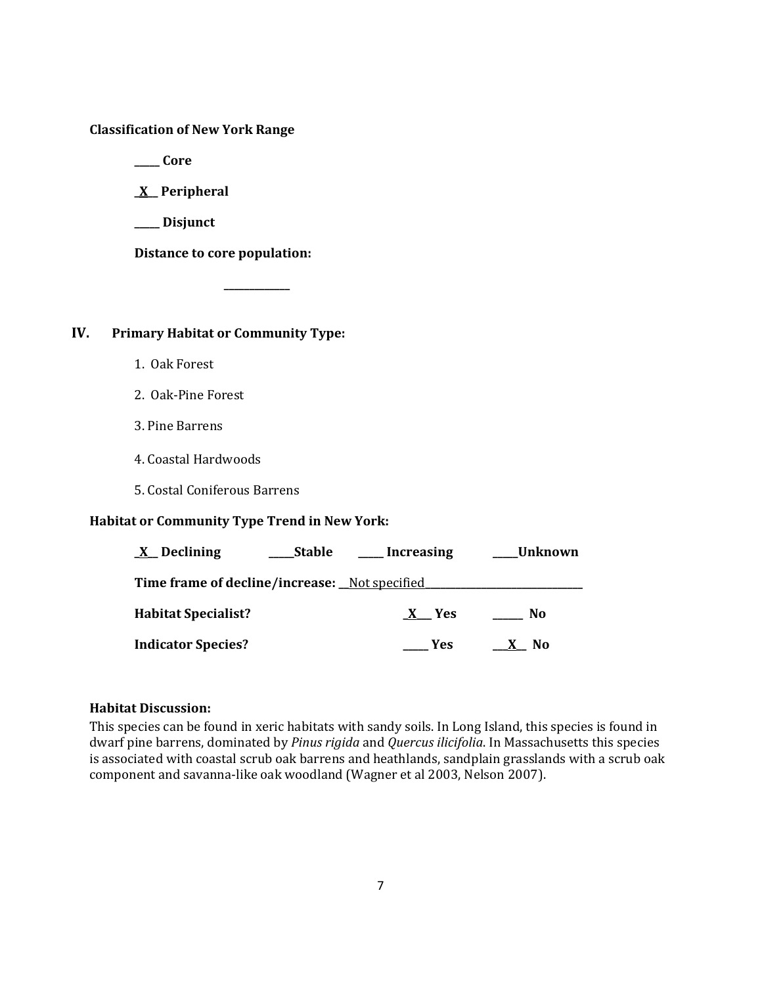## **Classification of New York Range**

**\_\_\_\_\_ Core**

**\_X\_\_ Peripheral**

**\_\_\_\_\_ Disjunct**

**Distance to core population:**

**\_\_\_\_\_\_\_\_\_\_\_\_\_**

## **IV. Primary Habitat or Community Type:**

- 1. Oak Forest
- 2. Oak-Pine Forest
- 3. Pine Barrens
- 4. Coastal Hardwoods
- 5. Costal Coniferous Barrens

## **Habitat or Community Type Trend in New York:**

| $\underline{X}$ Declining                      | Stable | Increasing | Unknown |
|------------------------------------------------|--------|------------|---------|
| Time frame of decline/increase: _Not specified |        |            |         |
| <b>Habitat Specialist?</b>                     |        | X Yes      | No      |
| <b>Indicator Species?</b>                      |        | Yes        | N0      |

## **Habitat Discussion:**

This species can be found in xeric habitats with sandy soils. In Long Island, this species is found in dwarf pine barrens, dominated by *Pinus rigida* and *Quercus ilicifolia*. In Massachusetts this species is associated with coastal scrub oak barrens and heathlands, sandplain grasslands with a scrub oak component and savanna-like oak woodland (Wagner et al 2003, Nelson 2007).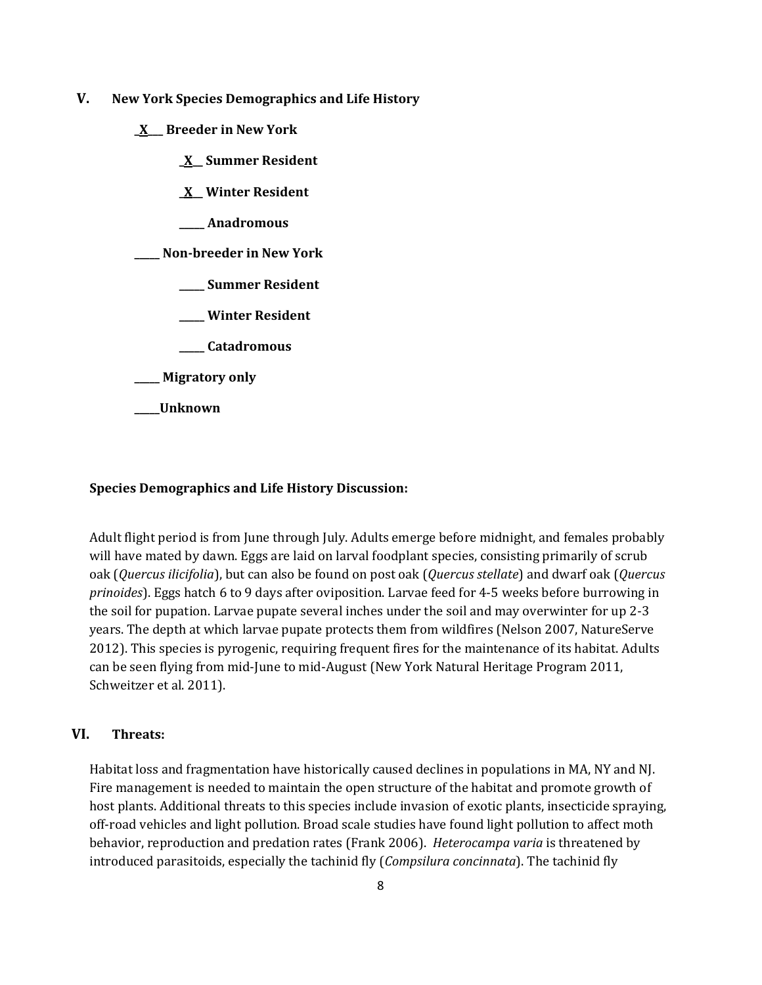- **V. New York Species Demographics and Life History**
	- **\_X\_\_\_ Breeder in New York**
		- **\_X\_\_ Summer Resident**
		- **\_X\_\_ Winter Resident**
		- **\_\_\_\_\_ Anadromous**

**\_\_\_\_\_ Non-breeder in New York**

- **\_\_\_\_\_ Summer Resident**
- **\_\_\_\_\_ Winter Resident**
- **\_\_\_\_\_ Catadromous**
- **\_\_\_\_\_ Migratory only**
- **\_\_\_\_\_Unknown**

#### **Species Demographics and Life History Discussion:**

Adult flight period is from June through July. Adults emerge before midnight, and females probably will have mated by dawn. Eggs are laid on larval foodplant species, consisting primarily of scrub oak (*Quercus ilicifolia*), but can also be found on post oak (*Quercus stellate*) and dwarf oak (*Quercus prinoides*). Eggs hatch 6 to 9 days after oviposition. Larvae feed for 4-5 weeks before burrowing in the soil for pupation. Larvae pupate several inches under the soil and may overwinter for up 2-3 years. The depth at which larvae pupate protects them from wildfires (Nelson 2007, NatureServe 2012). This species is pyrogenic, requiring frequent fires for the maintenance of its habitat. Adults can be seen flying from mid-June to mid-August (New York Natural Heritage Program 2011, Schweitzer et al. 2011).

## **VI. Threats:**

Habitat loss and fragmentation have historically caused declines in populations in MA, NY and NJ. Fire management is needed to maintain the open structure of the habitat and promote growth of host plants. Additional threats to this species include invasion of exotic plants, insecticide spraying, off-road vehicles and light pollution. Broad scale studies have found light pollution to affect moth behavior, reproduction and predation rates (Frank 2006). *Heterocampa varia* is threatened by introduced parasitoids, especially the tachinid fly (*Compsilura concinnata*). The tachinid fly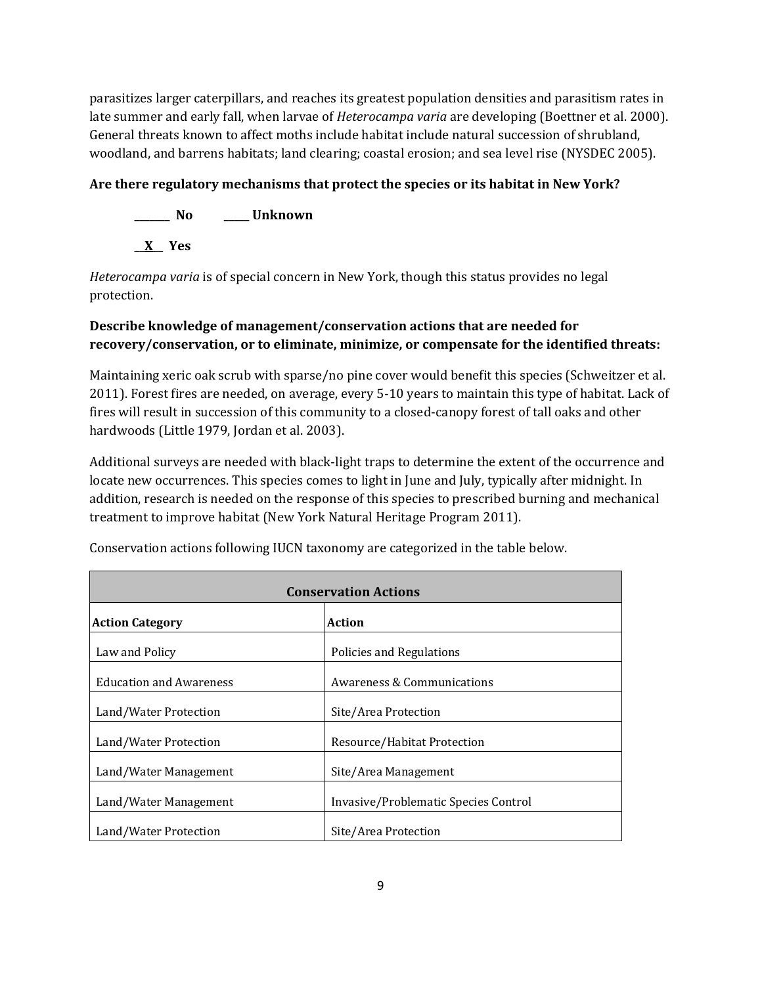parasitizes larger caterpillars, and reaches its greatest population densities and parasitism rates in late summer and early fall, when larvae of *Heterocampa varia* are developing (Boettner et al. 2000). General threats known to affect moths include habitat include natural succession of shrubland, woodland, and barrens habitats; land clearing; coastal erosion; and sea level rise (NYSDEC 2005).

## **Are there regulatory mechanisms that protect the species or its habitat in New York?**

**\_\_\_\_\_\_\_ No \_\_\_\_\_ Unknown \_\_X\_\_ Yes** 

*Heterocampa varia* is of special concern in New York, though this status provides no legal protection.

## **Describe knowledge of management/conservation actions that are needed for recovery/conservation, or to eliminate, minimize, or compensate for the identified threats:**

Maintaining xeric oak scrub with sparse/no pine cover would benefit this species (Schweitzer et al. 2011). Forest fires are needed, on average, every 5-10 years to maintain this type of habitat. Lack of fires will result in succession of this community to a closed-canopy forest of tall oaks and other hardwoods (Little 1979, Jordan et al. 2003).

Additional surveys are needed with black-light traps to determine the extent of the occurrence and locate new occurrences. This species comes to light in June and July, typically after midnight. In addition, research is needed on the response of this species to prescribed burning and mechanical treatment to improve habitat (New York Natural Heritage Program 2011).

| <b>Conservation Actions</b>                                   |                                       |  |
|---------------------------------------------------------------|---------------------------------------|--|
| Action<br><b>Action Category</b>                              |                                       |  |
| Law and Policy                                                | Policies and Regulations              |  |
| <b>Education and Awareness</b>                                | <b>Awareness &amp; Communications</b> |  |
| Land/Water Protection                                         | Site/Area Protection                  |  |
| Land/Water Protection                                         | Resource/Habitat Protection           |  |
| Land/Water Management                                         | Site/Area Management                  |  |
| Invasive/Problematic Species Control<br>Land/Water Management |                                       |  |
| Land/Water Protection                                         | Site/Area Protection                  |  |

Conservation actions following IUCN taxonomy are categorized in the table below.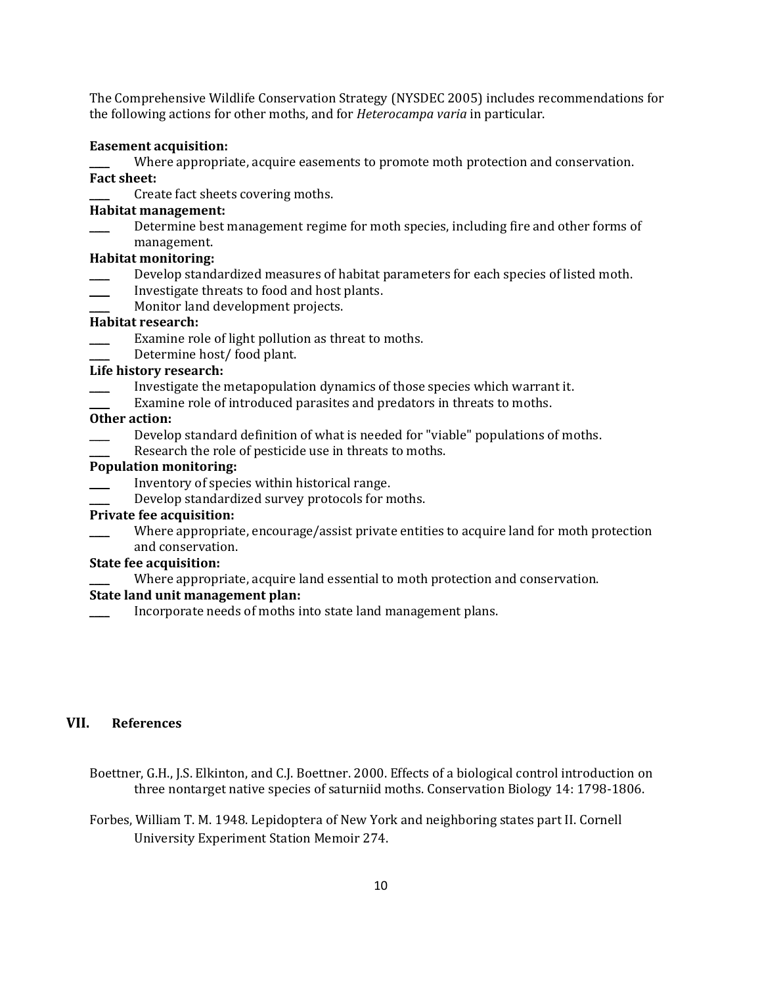The Comprehensive Wildlife Conservation Strategy (NYSDEC 2005) includes recommendations for the following actions for other moths, and for *Heterocampa varia* in particular.

#### **Easement acquisition:**

Where appropriate, acquire easements to promote moth protection and conservation. **Fact sheet:**

Create fact sheets covering moths.

#### **Habitat management:**

Determine best management regime for moth species, including fire and other forms of management.

#### **Habitat monitoring:**

- Develop standardized measures of habitat parameters for each species of listed moth.
- \_\_\_\_ Investigate threats to food and host plants.
- Monitor land development projects.

## **Habitat research:**

- Examine role of light pollution as threat to moths.
- Determine host/ food plant.

### **Life history research:**

- \_\_\_\_ Investigate the metapopulation dynamics of those species which warrant it.
- Examine role of introduced parasites and predators in threats to moths.

## **Other action:**

- Develop standard definition of what is needed for "viable" populations of moths.
- Research the role of pesticide use in threats to moths.

### **Population monitoring:**

- Inventory of species within historical range.
- Develop standardized survey protocols for moths.

#### **Private fee acquisition:**

Where appropriate, encourage/assist private entities to acquire land for moth protection and conservation.

## **State fee acquisition:**

Where appropriate, acquire land essential to moth protection and conservation.

### **State land unit management plan:**

Incorporate needs of moths into state land management plans.

## **VII. References**

- Boettner, G.H., J.S. Elkinton, and C.J. Boettner. 2000. Effects of a biological control introduction on three nontarget native species of saturniid moths. Conservation Biology 14: 1798-1806.
- Forbes, William T. M. 1948. Lepidoptera of New York and neighboring states part II. Cornell University Experiment Station Memoir 274.